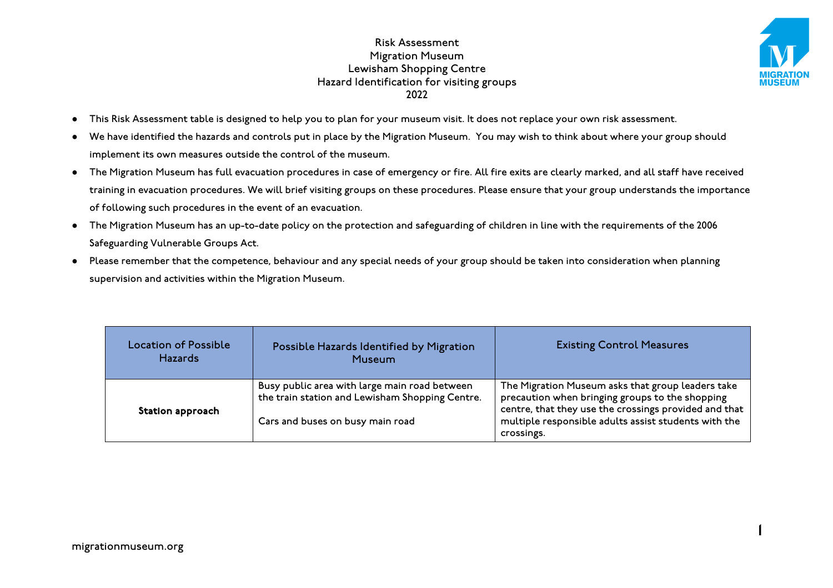

1

- This Risk Assessment table is designed to help you to plan for your museum visit. It does not replace your own risk assessment.
- We have identified the hazards and controls put in place by the Migration Museum. You may wish to think about where your group should implement its own measures outside the control of the museum.
- The Migration Museum has full evacuation procedures in case of emergency or fire. All fire exits are clearly marked, and all staff have received training in evacuation procedures. We will brief visiting groups on these procedures. Please ensure that your group understands the importance of following such procedures in the event of an evacuation.
- The Migration Museum has an up-to-date policy on the protection and safeguarding of children in line with the requirements of the 2006 Safeguarding Vulnerable Groups Act.
- Please remember that the competence, behaviour and any special needs of your group should be taken into consideration when planning supervision and activities within the Migration Museum.

| Location of Possible<br><b>Hazards</b> | Possible Hazards Identified by Migration<br>Museum                                                                                   | <b>Existing Control Measures</b>                                                                                                                                                                                                    |
|----------------------------------------|--------------------------------------------------------------------------------------------------------------------------------------|-------------------------------------------------------------------------------------------------------------------------------------------------------------------------------------------------------------------------------------|
| Station approach                       | Busy public area with large main road between<br>the train station and Lewisham Shopping Centre.<br>Cars and buses on busy main road | The Migration Museum asks that group leaders take<br>precaution when bringing groups to the shopping<br>centre, that they use the crossings provided and that<br>multiple responsible adults assist students with the<br>crossings. |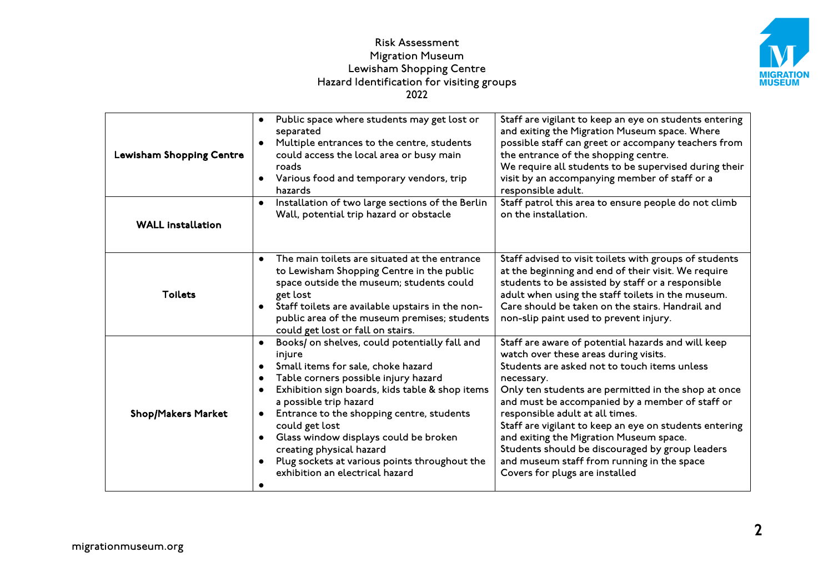

| Lewisham Shopping Centre  | Public space where students may get lost or<br>$\bullet$<br>separated<br>Multiple entrances to the centre, students<br>could access the local area or busy main<br>roads<br>Various food and temporary vendors, trip<br>hazards                                                                                                                                                                                                                                                                | Staff are vigilant to keep an eye on students entering<br>and exiting the Migration Museum space. Where<br>possible staff can greet or accompany teachers from<br>the entrance of the shopping centre.<br>We require all students to be supervised during their<br>visit by an accompanying member of staff or a<br>responsible adult.                                                                                                                                                                                                         |
|---------------------------|------------------------------------------------------------------------------------------------------------------------------------------------------------------------------------------------------------------------------------------------------------------------------------------------------------------------------------------------------------------------------------------------------------------------------------------------------------------------------------------------|------------------------------------------------------------------------------------------------------------------------------------------------------------------------------------------------------------------------------------------------------------------------------------------------------------------------------------------------------------------------------------------------------------------------------------------------------------------------------------------------------------------------------------------------|
| <b>WALL installation</b>  | Installation of two large sections of the Berlin<br>$\bullet$<br>Wall, potential trip hazard or obstacle                                                                                                                                                                                                                                                                                                                                                                                       | Staff patrol this area to ensure people do not climb<br>on the installation.                                                                                                                                                                                                                                                                                                                                                                                                                                                                   |
| <b>Toilets</b>            | The main toilets are situated at the entrance<br>$\bullet$<br>to Lewisham Shopping Centre in the public<br>space outside the museum; students could<br>get lost<br>Staff toilets are available upstairs in the non-<br>public area of the museum premises; students<br>could get lost or fall on stairs.                                                                                                                                                                                       | Staff advised to visit toilets with groups of students<br>at the beginning and end of their visit. We require<br>students to be assisted by staff or a responsible<br>adult when using the staff toilets in the museum.<br>Care should be taken on the stairs. Handrail and<br>non-slip paint used to prevent injury.                                                                                                                                                                                                                          |
| <b>Shop/Makers Market</b> | Books/ on shelves, could potentially fall and<br>$\bullet$<br>injure<br>Small items for sale, choke hazard<br>Table corners possible injury hazard<br>$\bullet$<br>Exhibition sign boards, kids table & shop items<br>a possible trip hazard<br>Entrance to the shopping centre, students<br>$\bullet$<br>could get lost<br>Glass window displays could be broken<br>$\bullet$<br>creating physical hazard<br>Plug sockets at various points throughout the<br>exhibition an electrical hazard | Staff are aware of potential hazards and will keep<br>watch over these areas during visits.<br>Students are asked not to touch items unless<br>necessary.<br>Only ten students are permitted in the shop at once<br>and must be accompanied by a member of staff or<br>responsible adult at all times.<br>Staff are vigilant to keep an eye on students entering<br>and exiting the Migration Museum space.<br>Students should be discouraged by group leaders<br>and museum staff from running in the space<br>Covers for plugs are installed |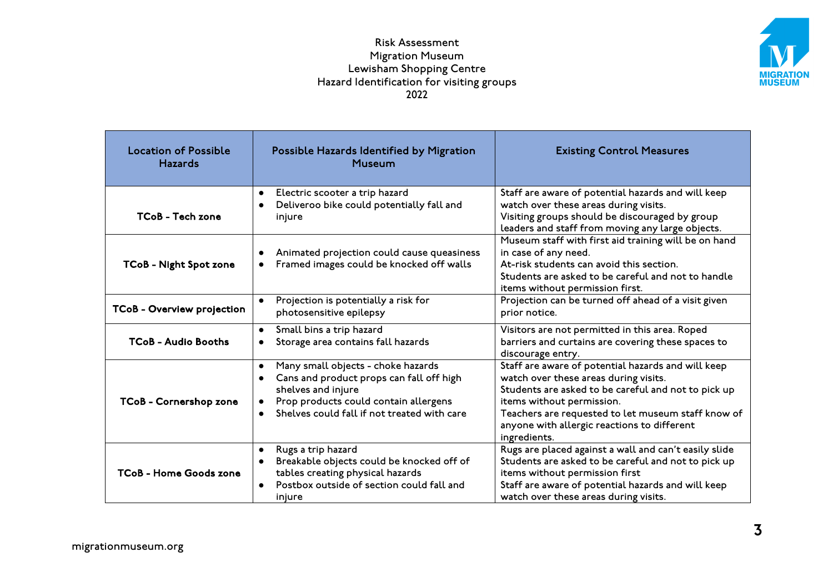

| <b>Location of Possible</b><br><b>Hazards</b> | Possible Hazards Identified by Migration<br><b>Museum</b>                                                                                                                                                                           | <b>Existing Control Measures</b>                                                                                                                                                                                                                                                                     |
|-----------------------------------------------|-------------------------------------------------------------------------------------------------------------------------------------------------------------------------------------------------------------------------------------|------------------------------------------------------------------------------------------------------------------------------------------------------------------------------------------------------------------------------------------------------------------------------------------------------|
| TCoB - Tech zone                              | Electric scooter a trip hazard<br>$\bullet$<br>Deliveroo bike could potentially fall and<br>injure                                                                                                                                  | Staff are aware of potential hazards and will keep<br>watch over these areas during visits.<br>Visiting groups should be discouraged by group<br>leaders and staff from moving any large objects.                                                                                                    |
| TCoB - Night Spot zone                        | Animated projection could cause queasiness<br>Framed images could be knocked off walls<br>$\bullet$                                                                                                                                 | Museum staff with first aid training will be on hand<br>in case of any need.<br>At-risk students can avoid this section.<br>Students are asked to be careful and not to handle<br>items without permission first.                                                                                    |
| TCoB - Overview projection                    | Projection is potentially a risk for<br>photosensitive epilepsy                                                                                                                                                                     | Projection can be turned off ahead of a visit given<br>prior notice.                                                                                                                                                                                                                                 |
| <b>TCoB - Audio Booths</b>                    | Small bins a trip hazard<br>$\bullet$<br>Storage area contains fall hazards<br>$\bullet$                                                                                                                                            | Visitors are not permitted in this area. Roped<br>barriers and curtains are covering these spaces to<br>discourage entry.                                                                                                                                                                            |
| TCoB - Cornershop zone                        | Many small objects - choke hazards<br>$\bullet$<br>Cans and product props can fall off high<br>shelves and injure<br>Prop products could contain allergens<br>$\bullet$<br>Shelves could fall if not treated with care<br>$\bullet$ | Staff are aware of potential hazards and will keep<br>watch over these areas during visits.<br>Students are asked to be careful and not to pick up<br>items without permission.<br>Teachers are requested to let museum staff know of<br>anyone with allergic reactions to different<br>ingredients. |
| <b>TCoB - Home Goods zone</b>                 | Rugs a trip hazard<br>$\bullet$<br>Breakable objects could be knocked off of<br>$\bullet$<br>tables creating physical hazards<br>Postbox outside of section could fall and<br>injure                                                | Rugs are placed against a wall and can't easily slide<br>Students are asked to be careful and not to pick up<br>items without permission first<br>Staff are aware of potential hazards and will keep<br>watch over these areas during visits.                                                        |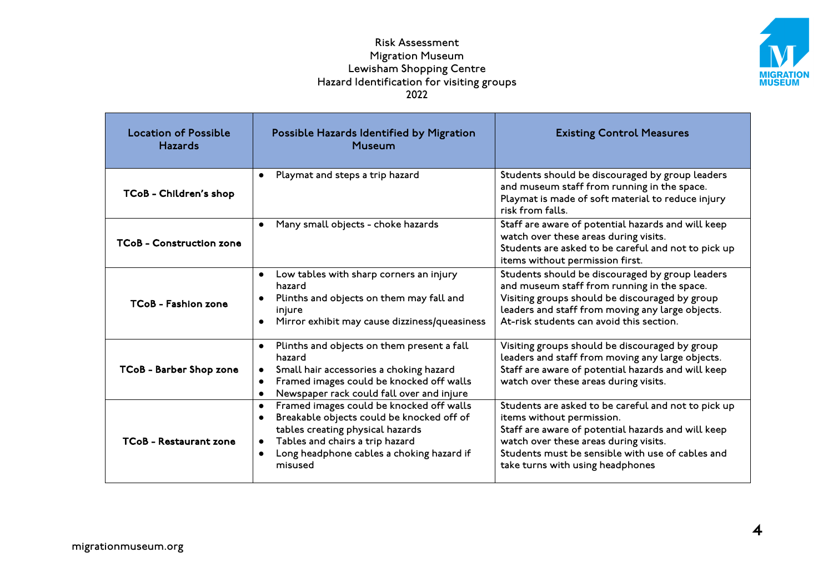

| <b>Location of Possible</b><br><b>Hazards</b> | Possible Hazards Identified by Migration<br>Museum                                                                                                                                                                                                                       | <b>Existing Control Measures</b>                                                                                                                                                                                                                                        |
|-----------------------------------------------|--------------------------------------------------------------------------------------------------------------------------------------------------------------------------------------------------------------------------------------------------------------------------|-------------------------------------------------------------------------------------------------------------------------------------------------------------------------------------------------------------------------------------------------------------------------|
| TCoB - Children's shop                        | Playmat and steps a trip hazard<br>$\bullet$                                                                                                                                                                                                                             | Students should be discouraged by group leaders<br>and museum staff from running in the space.<br>Playmat is made of soft material to reduce injury<br>risk from falls.                                                                                                 |
| <b>TCoB - Construction zone</b>               | Many small objects - choke hazards<br>$\bullet$                                                                                                                                                                                                                          | Staff are aware of potential hazards and will keep<br>watch over these areas during visits.<br>Students are asked to be careful and not to pick up<br>items without permission first.                                                                                   |
| <b>TCoB - Fashion zone</b>                    | Low tables with sharp corners an injury<br>$\bullet$<br>hazard<br>Plinths and objects on them may fall and<br>$\bullet$<br>injure<br>Mirror exhibit may cause dizziness/queasiness                                                                                       | Students should be discouraged by group leaders<br>and museum staff from running in the space.<br>Visiting groups should be discouraged by group<br>leaders and staff from moving any large objects.<br>At-risk students can avoid this section.                        |
| TCoB - Barber Shop zone                       | Plinths and objects on them present a fall<br>$\bullet$<br>hazard<br>Small hair accessories a choking hazard<br>$\bullet$<br>Framed images could be knocked off walls<br>$\bullet$<br>Newspaper rack could fall over and injure<br>$\bullet$                             | Visiting groups should be discouraged by group<br>leaders and staff from moving any large objects.<br>Staff are aware of potential hazards and will keep<br>watch over these areas during visits.                                                                       |
| <b>TCoB</b> - Restaurant zone                 | Framed images could be knocked off walls<br>$\bullet$<br>Breakable objects could be knocked off of<br>$\bullet$<br>tables creating physical hazards<br>Tables and chairs a trip hazard<br>$\bullet$<br>Long headphone cables a choking hazard if<br>$\bullet$<br>misused | Students are asked to be careful and not to pick up<br>items without permission.<br>Staff are aware of potential hazards and will keep<br>watch over these areas during visits.<br>Students must be sensible with use of cables and<br>take turns with using headphones |